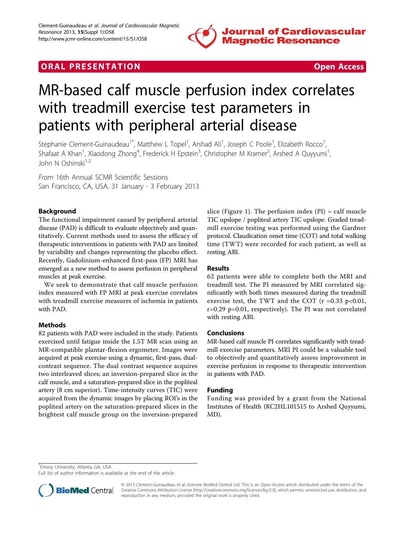

# **ORAL PRESENTATION CONSUMING ACCESS**



# MR-based calf muscle perfusion index correlates with treadmill exercise test parameters in patients with peripheral arterial disease

Stephanie Clement-Guinaudeau<sup>1\*</sup>, Matthew L Topel<sup>1</sup>, Arshad Ali<sup>1</sup>, Joseph C Poole<sup>1</sup>, Elizabeth Rocco<sup>1</sup> , Shafaat A Khan<sup>1</sup>, Xiaodong Zhong<sup>4</sup>, Frederick H Epstein<sup>3</sup>, Christopher M Kramer<sup>3</sup>, Arshed A Quyyumi<sup>1</sup> , John N Oshinski $1,2$ 

From 16th Annual SCMR Scientific Sessions San Francisco, CA, USA. 31 January - 3 February 2013

### Background

The functional impairment caused by peripheral arterial disease (PAD) is difficult to evaluate objectively and quantitatively. Current methods used to assess the efficacy of therapeutic interventions in patients with PAD are limited by variability and changes representing the placebo effect. Recently, Gadolinium-enhanced first-pass (FP) MRI has emerged as a new method to assess perfusion in peripheral muscles at peak exercise.

We seek to demonstrate that calf muscle perfusion index measured with FP MRI at peak exercise correlates with treadmill exercise measures of ischemia in patients with PAD.

#### Methods

82 patients with PAD were included in the study. Patients exercised until fatigue inside the 1.5T MR scan using an MR-compatible plantar-flexion ergometer. Images were acquired at peak exercise using a dynamic, first-pass, dualcontrast sequence. The dual contrast sequence acquires two interleaved slices; an inversion-prepared slice in the calf muscle, and a saturation-prepared slice in the popliteal artery (8 cm superior). Time-intensity curves (TIC) were acquired from the dynamic images by placing ROI's in the popliteal artery on the saturation-prepared slices in the brightest calf muscle group on the inversion-prepared slice (Figure [1\)](#page-1-0). The perfusion index  $(PI) = \text{calf}$  muscle TIC upslope / popliteal artery TIC upslope. Graded treadmill exercise testing was performed using the Gardner protocol. Claudication onset time (COT) and total walking time (TWT) were recorded for each patient, as well as resting ABI.

#### Results

62 patients were able to complete both the MRI and treadmill test. The PI measured by MRI correlated significantly with both times measured during the treadmill exercise test, the TWT and the COT ( $r = 0.33$  p<0.01, r=0.29 p=0.01, respectively). The PI was not correlated with resting ABI.

#### Conclusions

MR-based calf muscle PI correlates significantly with treadmill exercise parameters. MRI PI could be a valuable tool to objectively and quantitatively assess improvement in exercise perfusion in response to therapeutic intervention in patients with PAD.

#### Funding

Funding was provided by a grant from the National Institutes of Health (RC2HL101515 to Arshed Quyyumi, MD).

<sup>1</sup> Emory University, Atlanta, GA, USA

Full list of author information is available at the end of the article



© 2013 Clement-Guinaudeau et al; licensee BioMed Central Ltd. This is an Open Access article distributed under the terms of the Creative Commons Attribution License (<http://creativecommons.org/licenses/by/2.0>), which permits unrestricted use, distribution, and reproduction in any medium, provided the original work is properly cited.